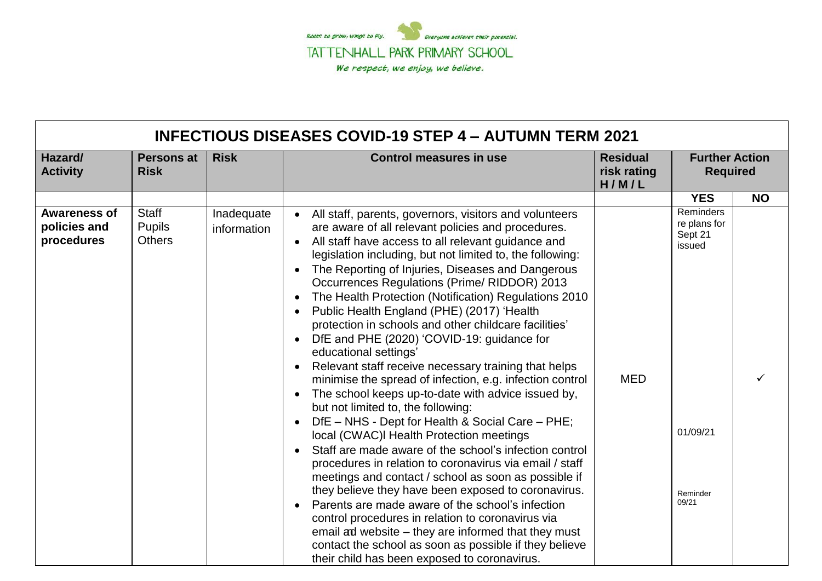

|                                                   |                                                |                           | <b>INFECTIOUS DISEASES COVID-19 STEP 4 - AUTUMN TERM 2021</b>                                                                                                                                                                                                                                                                                                                                                                                                                                                                                                                                                                                                                                                                                                                                                                                                                                                                                                                                                                                                                                                                                                                                                                                                                                                                                                                                                    |                                         |                                                                                 |           |
|---------------------------------------------------|------------------------------------------------|---------------------------|------------------------------------------------------------------------------------------------------------------------------------------------------------------------------------------------------------------------------------------------------------------------------------------------------------------------------------------------------------------------------------------------------------------------------------------------------------------------------------------------------------------------------------------------------------------------------------------------------------------------------------------------------------------------------------------------------------------------------------------------------------------------------------------------------------------------------------------------------------------------------------------------------------------------------------------------------------------------------------------------------------------------------------------------------------------------------------------------------------------------------------------------------------------------------------------------------------------------------------------------------------------------------------------------------------------------------------------------------------------------------------------------------------------|-----------------------------------------|---------------------------------------------------------------------------------|-----------|
| Hazard/<br><b>Activity</b>                        | <b>Persons at</b><br><b>Risk</b>               | <b>Risk</b>               | <b>Control measures in use</b>                                                                                                                                                                                                                                                                                                                                                                                                                                                                                                                                                                                                                                                                                                                                                                                                                                                                                                                                                                                                                                                                                                                                                                                                                                                                                                                                                                                   | <b>Residual</b><br>risk rating<br>H/M/L | <b>Further Action</b><br><b>Required</b>                                        |           |
|                                                   |                                                |                           |                                                                                                                                                                                                                                                                                                                                                                                                                                                                                                                                                                                                                                                                                                                                                                                                                                                                                                                                                                                                                                                                                                                                                                                                                                                                                                                                                                                                                  |                                         | <b>YES</b>                                                                      | <b>NO</b> |
| <b>Awareness of</b><br>policies and<br>procedures | <b>Staff</b><br><b>Pupils</b><br><b>Others</b> | Inadequate<br>information | All staff, parents, governors, visitors and volunteers<br>are aware of all relevant policies and procedures.<br>All staff have access to all relevant guidance and<br>legislation including, but not limited to, the following:<br>The Reporting of Injuries, Diseases and Dangerous<br><b>Occurrences Regulations (Prime/ RIDDOR) 2013</b><br>The Health Protection (Notification) Regulations 2010<br>Public Health England (PHE) (2017) 'Health<br>protection in schools and other childcare facilities'<br>DfE and PHE (2020) 'COVID-19: guidance for<br>educational settings'<br>Relevant staff receive necessary training that helps<br>minimise the spread of infection, e.g. infection control<br>The school keeps up-to-date with advice issued by,<br>but not limited to, the following:<br>DfE - NHS - Dept for Health & Social Care - PHE;<br>local (CWAC)I Health Protection meetings<br>Staff are made aware of the school's infection control<br>procedures in relation to coronavirus via email / staff<br>meetings and contact / school as soon as possible if<br>they believe they have been exposed to coronavirus.<br>Parents are made aware of the school's infection<br>control procedures in relation to coronavirus via<br>email ad website – they are informed that they must<br>contact the school as soon as possible if they believe<br>their child has been exposed to coronavirus. | <b>MED</b>                              | Reminders<br>re plans for<br>Sept 21<br>issued<br>01/09/21<br>Reminder<br>09/21 |           |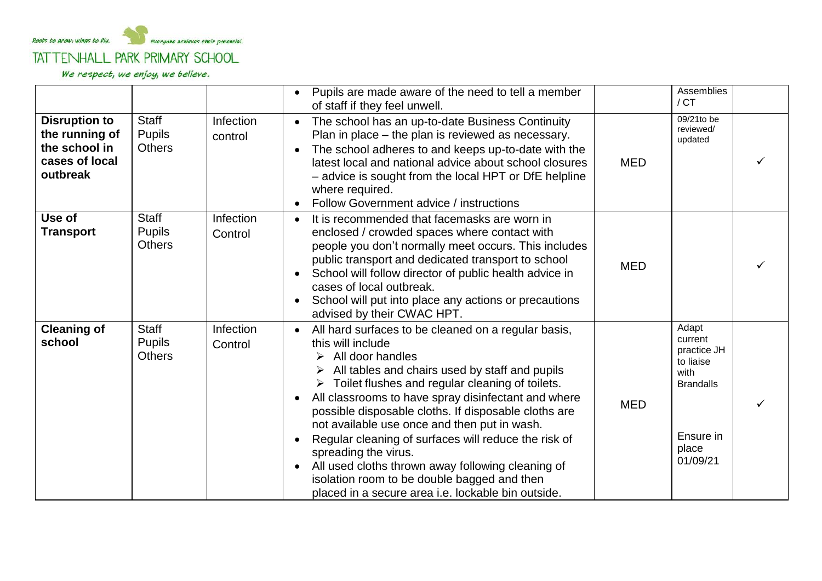

|                                                                                       |                                                |                      | Pupils are made aware of the need to tell a member<br>of staff if they feel unwell.                                                                                                                                                                                                                                                                                                                                                                                                                                                                                                                                                           |            | Assemblies<br>/CT                                                                                          |  |
|---------------------------------------------------------------------------------------|------------------------------------------------|----------------------|-----------------------------------------------------------------------------------------------------------------------------------------------------------------------------------------------------------------------------------------------------------------------------------------------------------------------------------------------------------------------------------------------------------------------------------------------------------------------------------------------------------------------------------------------------------------------------------------------------------------------------------------------|------------|------------------------------------------------------------------------------------------------------------|--|
| <b>Disruption to</b><br>the running of<br>the school in<br>cases of local<br>outbreak | <b>Staff</b><br><b>Pupils</b><br><b>Others</b> | Infection<br>control | The school has an up-to-date Business Continuity<br>$\bullet$<br>Plan in place – the plan is reviewed as necessary.<br>The school adheres to and keeps up-to-date with the<br>$\bullet$<br>latest local and national advice about school closures<br>- advice is sought from the local HPT or DfE helpline<br>where required.<br>Follow Government advice / instructions                                                                                                                                                                                                                                                                      | <b>MED</b> | 09/21to be<br>reviewed/<br>updated                                                                         |  |
| Use of<br><b>Transport</b>                                                            | <b>Staff</b><br><b>Pupils</b><br><b>Others</b> | Infection<br>Control | It is recommended that facemasks are worn in<br>enclosed / crowded spaces where contact with<br>people you don't normally meet occurs. This includes<br>public transport and dedicated transport to school<br>School will follow director of public health advice in<br>cases of local outbreak.<br>School will put into place any actions or precautions<br>advised by their CWAC HPT.                                                                                                                                                                                                                                                       | <b>MED</b> |                                                                                                            |  |
| <b>Cleaning of</b><br>school                                                          | <b>Staff</b><br><b>Pupils</b><br><b>Others</b> | Infection<br>Control | All hard surfaces to be cleaned on a regular basis,<br>this will include<br>All door handles<br>➤<br>All tables and chairs used by staff and pupils<br>$\triangleright$ Toilet flushes and regular cleaning of toilets.<br>All classrooms to have spray disinfectant and where<br>possible disposable cloths. If disposable cloths are<br>not available use once and then put in wash.<br>Regular cleaning of surfaces will reduce the risk of<br>spreading the virus.<br>All used cloths thrown away following cleaning of<br>$\bullet$<br>isolation room to be double bagged and then<br>placed in a secure area i.e. lockable bin outside. | <b>MED</b> | Adapt<br>current<br>practice JH<br>to liaise<br>with<br><b>Brandalls</b><br>Ensure in<br>place<br>01/09/21 |  |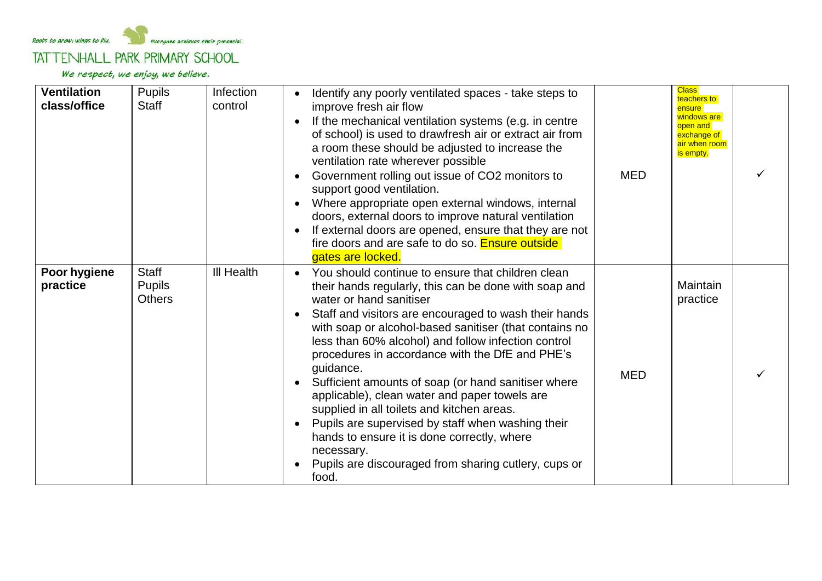

| <b>Ventilation</b><br>class/office | <b>Pupils</b><br><b>Staff</b>                  | Infection<br>control | Identify any poorly ventilated spaces - take steps to<br>improve fresh air flow<br>If the mechanical ventilation systems (e.g. in centre<br>of school) is used to drawfresh air or extract air from<br>a room these should be adjusted to increase the<br>ventilation rate wherever possible<br>Government rolling out issue of CO2 monitors to<br>support good ventilation.<br>Where appropriate open external windows, internal<br>doors, external doors to improve natural ventilation<br>If external doors are opened, ensure that they are not<br>fire doors and are safe to do so. Ensure outside<br>gates are locked.                                                                                             | <b>MED</b> | <b>Class</b><br>teachers to<br>ensure<br>windows are<br>open and<br>exchange of<br>air when room<br>is empty. |  |
|------------------------------------|------------------------------------------------|----------------------|--------------------------------------------------------------------------------------------------------------------------------------------------------------------------------------------------------------------------------------------------------------------------------------------------------------------------------------------------------------------------------------------------------------------------------------------------------------------------------------------------------------------------------------------------------------------------------------------------------------------------------------------------------------------------------------------------------------------------|------------|---------------------------------------------------------------------------------------------------------------|--|
| Poor hygiene<br>practice           | <b>Staff</b><br><b>Pupils</b><br><b>Others</b> | <b>III Health</b>    | You should continue to ensure that children clean<br>their hands regularly, this can be done with soap and<br>water or hand sanitiser<br>Staff and visitors are encouraged to wash their hands<br>with soap or alcohol-based sanitiser (that contains no<br>less than 60% alcohol) and follow infection control<br>procedures in accordance with the DfE and PHE's<br>guidance.<br>Sufficient amounts of soap (or hand sanitiser where<br>applicable), clean water and paper towels are<br>supplied in all toilets and kitchen areas.<br>Pupils are supervised by staff when washing their<br>hands to ensure it is done correctly, where<br>necessary.<br>Pupils are discouraged from sharing cutlery, cups or<br>food. | <b>MED</b> | Maintain<br>practice                                                                                          |  |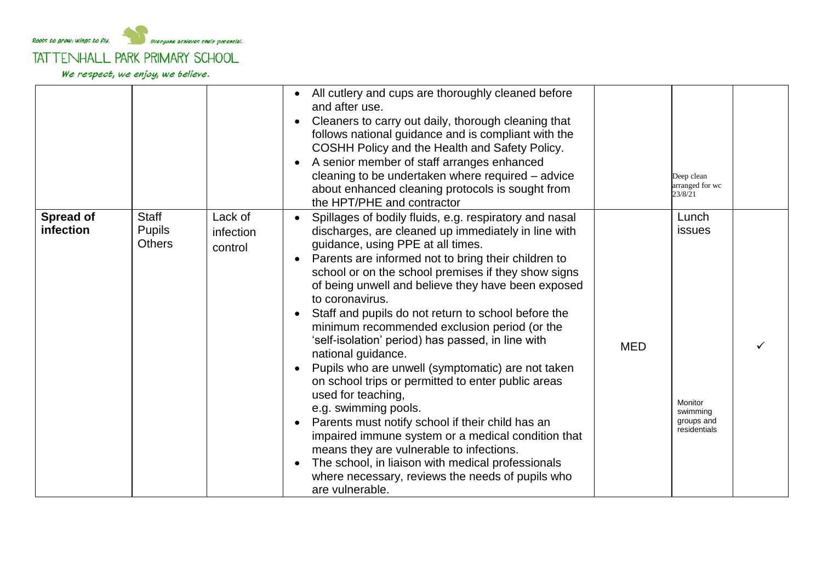.<br>Everyone achieves cheir pocencial. Roots to grow, wings to fly.

TATTENHALL PARK PRIMARY SCHOOL

|                               |                                         |                                 | All cutlery and cups are thoroughly cleaned before<br>and after use.<br>Cleaners to carry out daily, thorough cleaning that<br>follows national guidance and is compliant with the<br>COSHH Policy and the Health and Safety Policy.<br>A senior member of staff arranges enhanced<br>cleaning to be undertaken where required - advice<br>about enhanced cleaning protocols is sought from<br>the HPT/PHE and contractor                                                                                                                                                                                                                                                                                                                                                                                                                                                                                                                                              |            | Deep clean<br>arranged for wc<br>23/8/21                                    |  |
|-------------------------------|-----------------------------------------|---------------------------------|------------------------------------------------------------------------------------------------------------------------------------------------------------------------------------------------------------------------------------------------------------------------------------------------------------------------------------------------------------------------------------------------------------------------------------------------------------------------------------------------------------------------------------------------------------------------------------------------------------------------------------------------------------------------------------------------------------------------------------------------------------------------------------------------------------------------------------------------------------------------------------------------------------------------------------------------------------------------|------------|-----------------------------------------------------------------------------|--|
| <b>Spread of</b><br>infection | Staff<br><b>Pupils</b><br><b>Others</b> | Lack of<br>infection<br>control | Spillages of bodily fluids, e.g. respiratory and nasal<br>discharges, are cleaned up immediately in line with<br>guidance, using PPE at all times.<br>Parents are informed not to bring their children to<br>school or on the school premises if they show signs<br>of being unwell and believe they have been exposed<br>to coronavirus.<br>Staff and pupils do not return to school before the<br>minimum recommended exclusion period (or the<br>'self-isolation' period) has passed, in line with<br>national guidance.<br>Pupils who are unwell (symptomatic) are not taken<br>on school trips or permitted to enter public areas<br>used for teaching,<br>e.g. swimming pools.<br>Parents must notify school if their child has an<br>impaired immune system or a medical condition that<br>means they are vulnerable to infections.<br>The school, in liaison with medical professionals<br>where necessary, reviews the needs of pupils who<br>are vulnerable. | <b>MED</b> | Lunch<br><i>issues</i><br>Monitor<br>swimming<br>groups and<br>residentials |  |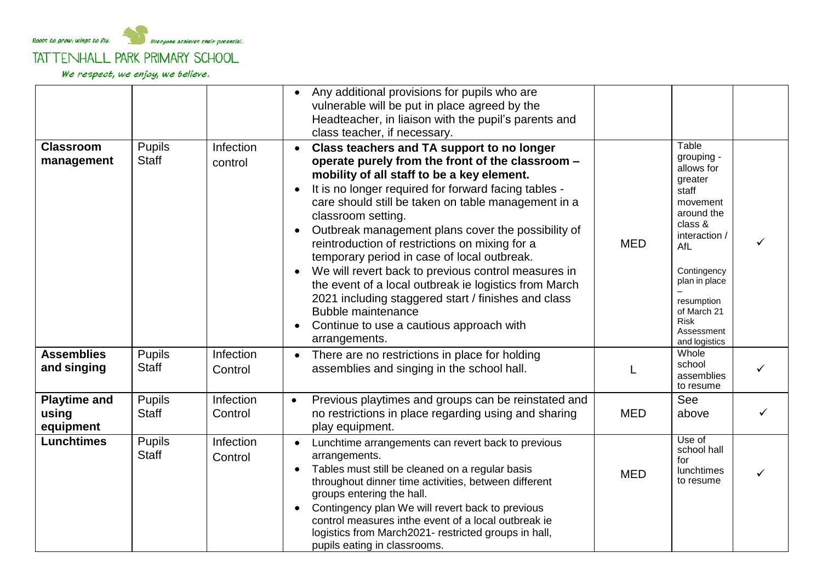

|                                           |                               |                      | Any additional provisions for pupils who are<br>vulnerable will be put in place agreed by the<br>Headteacher, in liaison with the pupil's parents and<br>class teacher, if necessary.                                                                                                                                                                                                                                                                                                                                                                                                                                                                                                                     |            |                                                                                                                                                                                                                               |   |
|-------------------------------------------|-------------------------------|----------------------|-----------------------------------------------------------------------------------------------------------------------------------------------------------------------------------------------------------------------------------------------------------------------------------------------------------------------------------------------------------------------------------------------------------------------------------------------------------------------------------------------------------------------------------------------------------------------------------------------------------------------------------------------------------------------------------------------------------|------------|-------------------------------------------------------------------------------------------------------------------------------------------------------------------------------------------------------------------------------|---|
| <b>Classroom</b><br>management            | <b>Pupils</b><br><b>Staff</b> | Infection<br>control | Class teachers and TA support to no longer<br>operate purely from the front of the classroom -<br>mobility of all staff to be a key element.<br>It is no longer required for forward facing tables -<br>care should still be taken on table management in a<br>classroom setting.<br>Outbreak management plans cover the possibility of<br>reintroduction of restrictions on mixing for a<br>temporary period in case of local outbreak.<br>We will revert back to previous control measures in<br>the event of a local outbreak ie logistics from March<br>2021 including staggered start / finishes and class<br><b>Bubble maintenance</b><br>Continue to use a cautious approach with<br>arrangements. | MED        | Table<br>grouping -<br>allows for<br>greater<br>staff<br>movement<br>around the<br>class &<br>interaction /<br>AfL<br>Contingency<br>plan in place<br>resumption<br>of March 21<br><b>Risk</b><br>Assessment<br>and logistics |   |
| <b>Assemblies</b><br>and singing          | <b>Pupils</b><br>Staff        | Infection<br>Control | There are no restrictions in place for holding<br>assemblies and singing in the school hall.                                                                                                                                                                                                                                                                                                                                                                                                                                                                                                                                                                                                              |            | Whole<br>school<br>assemblies<br>to resume                                                                                                                                                                                    |   |
| <b>Playtime and</b><br>using<br>equipment | <b>Pupils</b><br><b>Staff</b> | Infection<br>Control | Previous playtimes and groups can be reinstated and<br>$\bullet$<br>no restrictions in place regarding using and sharing<br>play equipment.                                                                                                                                                                                                                                                                                                                                                                                                                                                                                                                                                               | <b>MED</b> | See<br>above                                                                                                                                                                                                                  | ✓ |
| <b>Lunchtimes</b>                         | <b>Pupils</b><br><b>Staff</b> | Infection<br>Control | Lunchtime arrangements can revert back to previous<br>arrangements.<br>Tables must still be cleaned on a regular basis<br>throughout dinner time activities, between different<br>groups entering the hall.<br>Contingency plan We will revert back to previous<br>$\bullet$<br>control measures inthe event of a local outbreak ie<br>logistics from March2021- restricted groups in hall,<br>pupils eating in classrooms.                                                                                                                                                                                                                                                                               | <b>MED</b> | Use of<br>school hall<br>for<br><b>lunchtimes</b><br>to resume                                                                                                                                                                |   |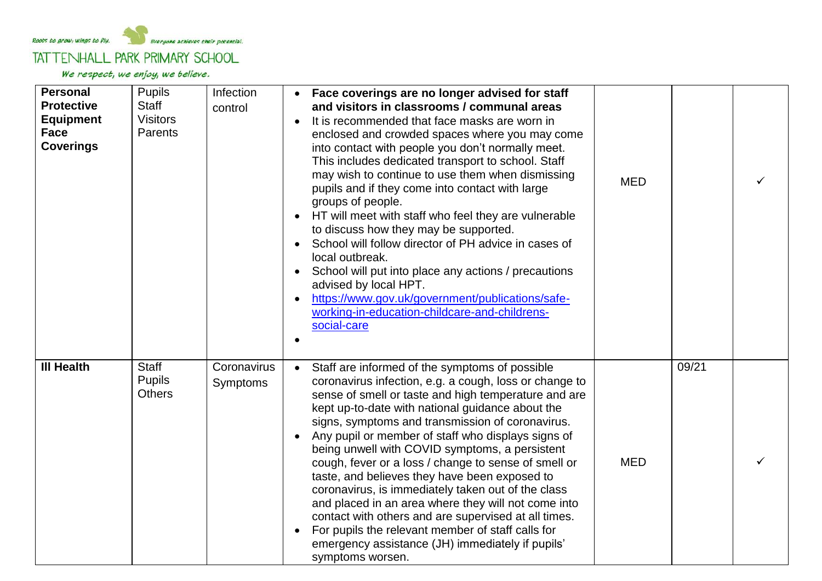

| <b>Personal</b><br><b>Protective</b><br><b>Equipment</b><br><b>Face</b><br><b>Coverings</b> | Pupils<br><b>Staff</b><br><b>Visitors</b><br>Parents | Infection<br>control    | Face coverings are no longer advised for staff<br>and visitors in classrooms / communal areas<br>It is recommended that face masks are worn in<br>$\bullet$<br>enclosed and crowded spaces where you may come<br>into contact with people you don't normally meet.<br>This includes dedicated transport to school. Staff<br>may wish to continue to use them when dismissing<br>pupils and if they come into contact with large<br>groups of people.<br>• HT will meet with staff who feel they are vulnerable<br>to discuss how they may be supported.<br>School will follow director of PH advice in cases of<br>local outbreak.<br>School will put into place any actions / precautions<br>advised by local HPT.<br>https://www.gov.uk/government/publications/safe-<br>working-in-education-childcare-and-childrens-<br>social-care | <b>MED</b> |       |  |
|---------------------------------------------------------------------------------------------|------------------------------------------------------|-------------------------|-----------------------------------------------------------------------------------------------------------------------------------------------------------------------------------------------------------------------------------------------------------------------------------------------------------------------------------------------------------------------------------------------------------------------------------------------------------------------------------------------------------------------------------------------------------------------------------------------------------------------------------------------------------------------------------------------------------------------------------------------------------------------------------------------------------------------------------------|------------|-------|--|
| <b>III Health</b>                                                                           | Staff<br><b>Pupils</b><br><b>Others</b>              | Coronavirus<br>Symptoms | Staff are informed of the symptoms of possible<br>$\bullet$<br>coronavirus infection, e.g. a cough, loss or change to<br>sense of smell or taste and high temperature and are<br>kept up-to-date with national guidance about the<br>signs, symptoms and transmission of coronavirus.<br>Any pupil or member of staff who displays signs of<br>being unwell with COVID symptoms, a persistent<br>cough, fever or a loss / change to sense of smell or<br>taste, and believes they have been exposed to<br>coronavirus, is immediately taken out of the class<br>and placed in an area where they will not come into<br>contact with others and are supervised at all times.<br>For pupils the relevant member of staff calls for<br>emergency assistance (JH) immediately if pupils'<br>symptoms worsen.                                | <b>MED</b> | 09/21 |  |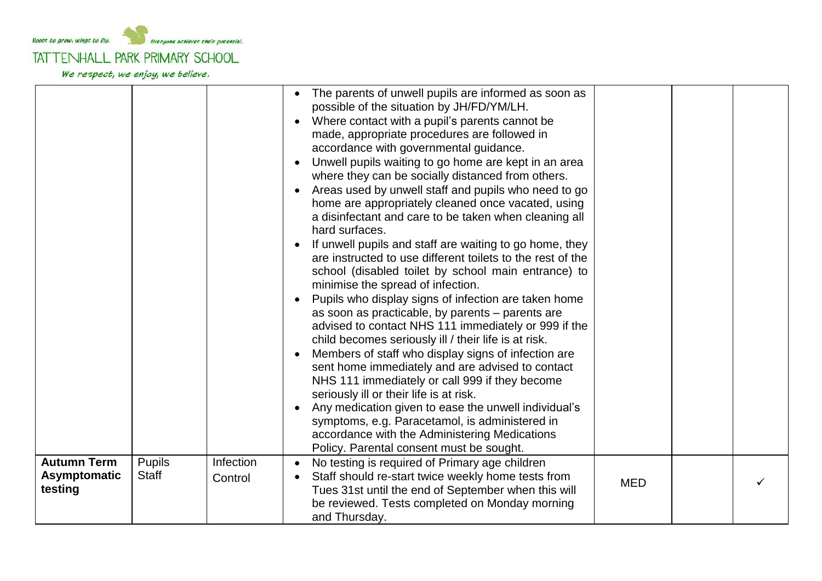.<br>Everyone achieves cheir pocencial. Roots to grow, wings to fly. TATTENHALL PARK PRIMARY SCHOOL

|                                               |                        |                      | The parents of unwell pupils are informed as soon as<br>possible of the situation by JH/FD/YM/LH.<br>Where contact with a pupil's parents cannot be<br>made, appropriate procedures are followed in<br>accordance with governmental guidance.<br>Unwell pupils waiting to go home are kept in an area<br>where they can be socially distanced from others.<br>Areas used by unwell staff and pupils who need to go<br>home are appropriately cleaned once vacated, using<br>a disinfectant and care to be taken when cleaning all<br>hard surfaces.<br>If unwell pupils and staff are waiting to go home, they<br>are instructed to use different toilets to the rest of the<br>school (disabled toilet by school main entrance) to<br>minimise the spread of infection.<br>Pupils who display signs of infection are taken home<br>as soon as practicable, by parents – parents are<br>advised to contact NHS 111 immediately or 999 if the<br>child becomes seriously ill / their life is at risk.<br>Members of staff who display signs of infection are<br>sent home immediately and are advised to contact<br>NHS 111 immediately or call 999 if they become<br>seriously ill or their life is at risk.<br>Any medication given to ease the unwell individual's<br>symptoms, e.g. Paracetamol, is administered in<br>accordance with the Administering Medications<br>Policy. Parental consent must be sought. |            |  |
|-----------------------------------------------|------------------------|----------------------|---------------------------------------------------------------------------------------------------------------------------------------------------------------------------------------------------------------------------------------------------------------------------------------------------------------------------------------------------------------------------------------------------------------------------------------------------------------------------------------------------------------------------------------------------------------------------------------------------------------------------------------------------------------------------------------------------------------------------------------------------------------------------------------------------------------------------------------------------------------------------------------------------------------------------------------------------------------------------------------------------------------------------------------------------------------------------------------------------------------------------------------------------------------------------------------------------------------------------------------------------------------------------------------------------------------------------------------------------------------------------------------------------------------------|------------|--|
| <b>Autumn Term</b><br>Asymptomatic<br>testing | <b>Pupils</b><br>Staff | Infection<br>Control | No testing is required of Primary age children<br>Staff should re-start twice weekly home tests from<br>Tues 31st until the end of September when this will<br>be reviewed. Tests completed on Monday morning<br>and Thursday.                                                                                                                                                                                                                                                                                                                                                                                                                                                                                                                                                                                                                                                                                                                                                                                                                                                                                                                                                                                                                                                                                                                                                                                      | <b>MED</b> |  |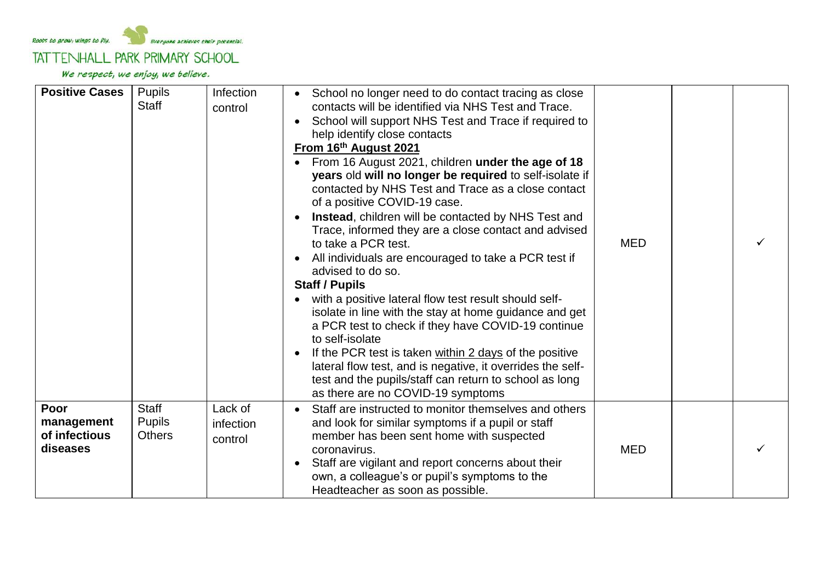

| <b>Positive Cases</b>                           | <b>Pupils</b><br>Staff                         | Infection<br>control            | School no longer need to do contact tracing as close<br>contacts will be identified via NHS Test and Trace.<br>• School will support NHS Test and Trace if required to<br>help identify close contacts<br>From 16th August 2021<br>From 16 August 2021, children under the age of 18<br>years old will no longer be required to self-isolate if<br>contacted by NHS Test and Trace as a close contact<br>of a positive COVID-19 case.<br>Instead, children will be contacted by NHS Test and<br>Trace, informed they are a close contact and advised<br>to take a PCR test.<br>All individuals are encouraged to take a PCR test if<br>advised to do so.<br><b>Staff / Pupils</b><br>with a positive lateral flow test result should self-<br>isolate in line with the stay at home guidance and get<br>a PCR test to check if they have COVID-19 continue<br>to self-isolate<br>If the PCR test is taken within 2 days of the positive<br>lateral flow test, and is negative, it overrides the self-<br>test and the pupils/staff can return to school as long<br>as there are no COVID-19 symptoms | <b>MED</b> |  |
|-------------------------------------------------|------------------------------------------------|---------------------------------|------------------------------------------------------------------------------------------------------------------------------------------------------------------------------------------------------------------------------------------------------------------------------------------------------------------------------------------------------------------------------------------------------------------------------------------------------------------------------------------------------------------------------------------------------------------------------------------------------------------------------------------------------------------------------------------------------------------------------------------------------------------------------------------------------------------------------------------------------------------------------------------------------------------------------------------------------------------------------------------------------------------------------------------------------------------------------------------------------|------------|--|
| Poor<br>management<br>of infectious<br>diseases | <b>Staff</b><br><b>Pupils</b><br><b>Others</b> | Lack of<br>infection<br>control | Staff are instructed to monitor themselves and others<br>and look for similar symptoms if a pupil or staff<br>member has been sent home with suspected<br>coronavirus.<br>Staff are vigilant and report concerns about their<br>own, a colleague's or pupil's symptoms to the<br>Headteacher as soon as possible.                                                                                                                                                                                                                                                                                                                                                                                                                                                                                                                                                                                                                                                                                                                                                                                    | <b>MED</b> |  |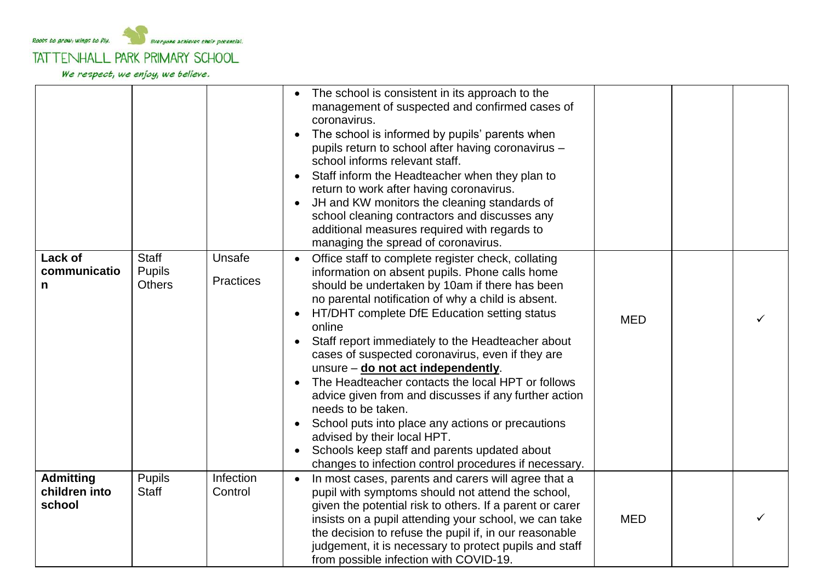.<br>Everyone achieves cheir pocencial. Roots to grow, wings to fly.

TATTENHALL PARK PRIMARY SCHOOL

|                                             |                                                |                            | The school is consistent in its approach to the<br>management of suspected and confirmed cases of<br>coronavirus.<br>The school is informed by pupils' parents when<br>$\bullet$<br>pupils return to school after having coronavirus -<br>school informs relevant staff.<br>Staff inform the Headteacher when they plan to<br>return to work after having coronavirus.<br>JH and KW monitors the cleaning standards of<br>school cleaning contractors and discusses any<br>additional measures required with regards to<br>managing the spread of coronavirus.                                                                                                                                                                                         |            |  |
|---------------------------------------------|------------------------------------------------|----------------------------|--------------------------------------------------------------------------------------------------------------------------------------------------------------------------------------------------------------------------------------------------------------------------------------------------------------------------------------------------------------------------------------------------------------------------------------------------------------------------------------------------------------------------------------------------------------------------------------------------------------------------------------------------------------------------------------------------------------------------------------------------------|------------|--|
| Lack of<br>communicatio<br>n                | <b>Staff</b><br><b>Pupils</b><br><b>Others</b> | Unsafe<br><b>Practices</b> | Office staff to complete register check, collating<br>information on absent pupils. Phone calls home<br>should be undertaken by 10am if there has been<br>no parental notification of why a child is absent.<br>HT/DHT complete DfE Education setting status<br>online<br>Staff report immediately to the Headteacher about<br>cases of suspected coronavirus, even if they are<br>unsure - do not act independently.<br>The Headteacher contacts the local HPT or follows<br>advice given from and discusses if any further action<br>needs to be taken.<br>School puts into place any actions or precautions<br>advised by their local HPT.<br>Schools keep staff and parents updated about<br>changes to infection control procedures if necessary. | <b>MED</b> |  |
| <b>Admitting</b><br>children into<br>school | <b>Pupils</b><br><b>Staff</b>                  | Infection<br>Control       | In most cases, parents and carers will agree that a<br>pupil with symptoms should not attend the school,<br>given the potential risk to others. If a parent or carer<br>insists on a pupil attending your school, we can take<br>the decision to refuse the pupil if, in our reasonable<br>judgement, it is necessary to protect pupils and staff<br>from possible infection with COVID-19.                                                                                                                                                                                                                                                                                                                                                            | <b>MED</b> |  |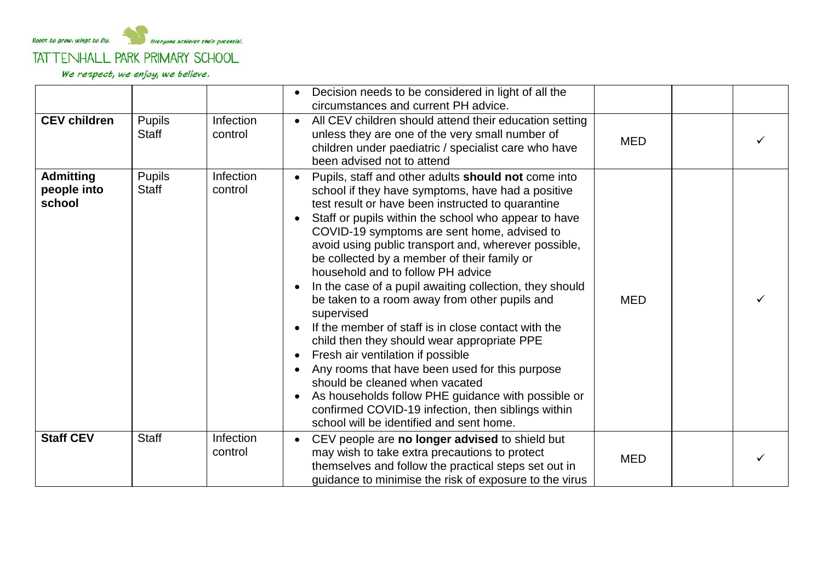

|                                           |                        |                      | Decision needs to be considered in light of all the<br>circumstances and current PH advice.                                                                                                                                                                                                                                                                                                                                                                                                                                                                                                                                                                                                                                                                                                                                                                                                                                              |            |  |
|-------------------------------------------|------------------------|----------------------|------------------------------------------------------------------------------------------------------------------------------------------------------------------------------------------------------------------------------------------------------------------------------------------------------------------------------------------------------------------------------------------------------------------------------------------------------------------------------------------------------------------------------------------------------------------------------------------------------------------------------------------------------------------------------------------------------------------------------------------------------------------------------------------------------------------------------------------------------------------------------------------------------------------------------------------|------------|--|
| <b>CEV children</b>                       | <b>Pupils</b><br>Staff | Infection<br>control | All CEV children should attend their education setting<br>unless they are one of the very small number of<br>children under paediatric / specialist care who have<br>been advised not to attend                                                                                                                                                                                                                                                                                                                                                                                                                                                                                                                                                                                                                                                                                                                                          | <b>MED</b> |  |
| <b>Admitting</b><br>people into<br>school | <b>Pupils</b><br>Staff | Infection<br>control | Pupils, staff and other adults <b>should not</b> come into<br>school if they have symptoms, have had a positive<br>test result or have been instructed to quarantine<br>Staff or pupils within the school who appear to have<br>COVID-19 symptoms are sent home, advised to<br>avoid using public transport and, wherever possible,<br>be collected by a member of their family or<br>household and to follow PH advice<br>In the case of a pupil awaiting collection, they should<br>be taken to a room away from other pupils and<br>supervised<br>If the member of staff is in close contact with the<br>child then they should wear appropriate PPE<br>Fresh air ventilation if possible<br>Any rooms that have been used for this purpose<br>should be cleaned when vacated<br>As households follow PHE guidance with possible or<br>confirmed COVID-19 infection, then siblings within<br>school will be identified and sent home. | <b>MED</b> |  |
| <b>Staff CEV</b>                          | <b>Staff</b>           | Infection<br>control | CEV people are no longer advised to shield but<br>may wish to take extra precautions to protect<br>themselves and follow the practical steps set out in<br>guidance to minimise the risk of exposure to the virus                                                                                                                                                                                                                                                                                                                                                                                                                                                                                                                                                                                                                                                                                                                        | <b>MED</b> |  |